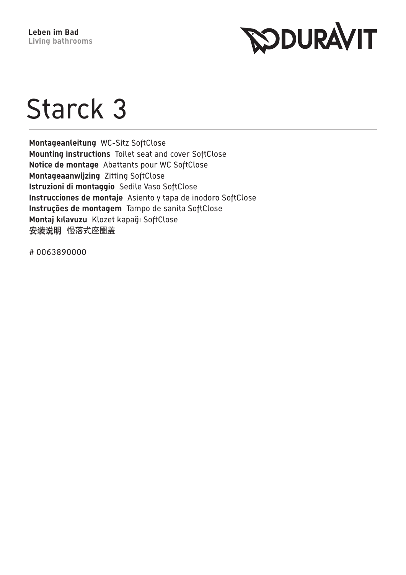

## Starck 3

Montageanleitung WC-Sitz SoftClose Mounting instructions Toilet seat and cover SoftClose Notice de montage Abattants pour WC SoftClose Montageaanwijzing Zitting SoftClose Istruzioni di montaggio Sedile Vaso SoftClose Instrucciones de montaje Asiento y tapa de inodoro SoftClose Instruções de montagem Tampo de sanita SoftClose Montaj kılavuzu Klozet kapağı SoftClose 安装说明 慢落式座圈盖

#0063890000